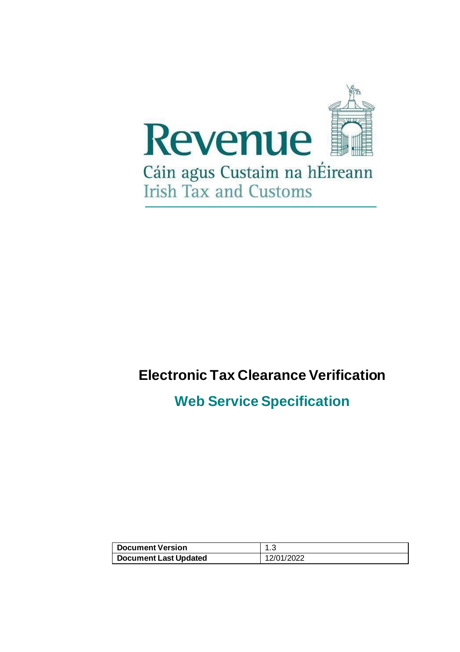

# **Electronic Tax Clearance Verification**

## **Web Service Specification**

| Document Version      |            |
|-----------------------|------------|
| Document Last Updated | 12/01/2022 |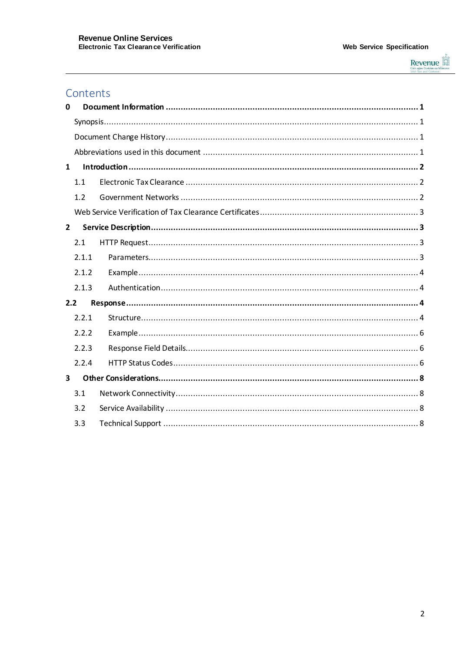

## Contents

| 0                       |       |  |  |  |  |  |
|-------------------------|-------|--|--|--|--|--|
|                         |       |  |  |  |  |  |
|                         |       |  |  |  |  |  |
|                         |       |  |  |  |  |  |
| $\mathbf{1}$            |       |  |  |  |  |  |
|                         | 1.1   |  |  |  |  |  |
|                         | 1.2   |  |  |  |  |  |
|                         |       |  |  |  |  |  |
| $\overline{2}$          |       |  |  |  |  |  |
|                         | 2.1   |  |  |  |  |  |
|                         | 2.1.1 |  |  |  |  |  |
|                         | 2.1.2 |  |  |  |  |  |
|                         | 2.1.3 |  |  |  |  |  |
| 2.2                     |       |  |  |  |  |  |
|                         | 2.2.1 |  |  |  |  |  |
|                         | 2.2.2 |  |  |  |  |  |
|                         | 2.2.3 |  |  |  |  |  |
|                         | 2.2.4 |  |  |  |  |  |
| $\overline{\mathbf{3}}$ |       |  |  |  |  |  |
|                         | 3.1   |  |  |  |  |  |
|                         | 3.2   |  |  |  |  |  |
|                         | 3.3   |  |  |  |  |  |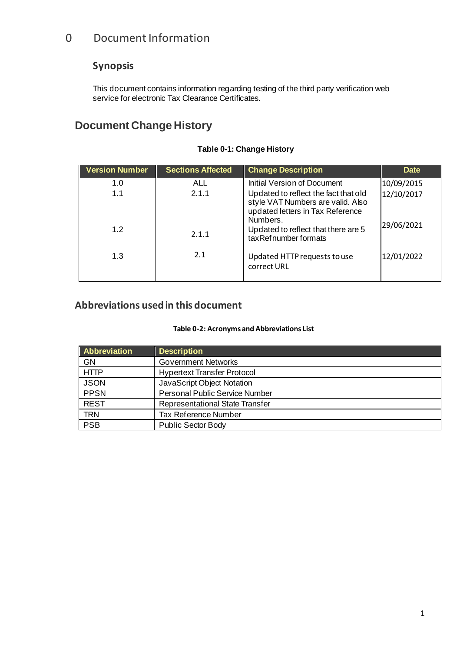## <span id="page-2-0"></span>0 Document Information

## <span id="page-2-1"></span>**Synopsis**

This document contains information regarding testing of the third party verification web service for electronic Tax Clearance Certificates.

## <span id="page-2-2"></span>**Document Change History**

| <b>Version Number</b> | <b>Sections Affected</b> | <b>Change Description</b>                                                                                                 | <b>Date</b> |
|-----------------------|--------------------------|---------------------------------------------------------------------------------------------------------------------------|-------------|
| 1.0                   | ALL                      | <b>Initial Version of Document</b>                                                                                        | 10/09/2015  |
| 1.1                   | 2.1.1                    | Updated to reflect the fact that old<br>style VAT Numbers are valid. Also<br>updated letters in Tax Reference<br>Numbers. | 12/10/2017  |
| 1.2                   | 2.1.1                    | Updated to reflect that there are 5<br>taxRefnumber formats                                                               | 29/06/2021  |
| 1.3                   | 2.1                      | Updated HTTP requests to use<br>correct URL                                                                               | 12/01/2022  |

#### **Table 0-1: Change History**

## <span id="page-2-3"></span>**Abbreviations used in this document**

#### **Table 0-2: Acronyms and Abbreviations List**

| Abbreviation | <b>Description</b>                     |
|--------------|----------------------------------------|
| GN           | <b>Government Networks</b>             |
| <b>HTTP</b>  | <b>Hypertext Transfer Protocol</b>     |
| <b>JSON</b>  | JavaScript Object Notation             |
| <b>PPSN</b>  | <b>Personal Public Service Number</b>  |
| <b>REST</b>  | <b>Representational State Transfer</b> |
| <b>TRN</b>   | <b>Tax Reference Number</b>            |
| <b>PSB</b>   | <b>Public Sector Body</b>              |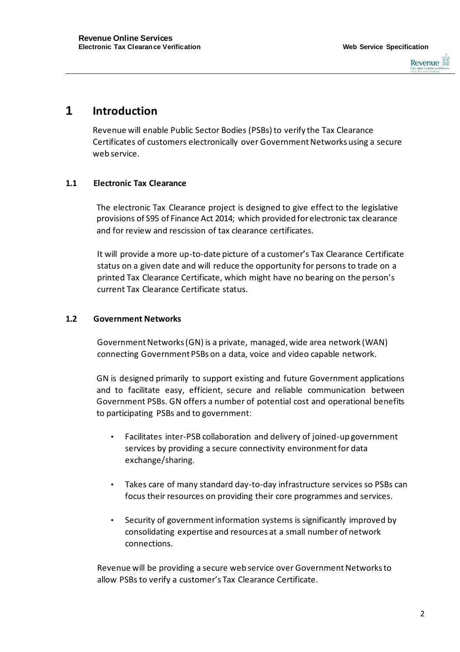

## <span id="page-3-0"></span>**1 Introduction**

Revenue will enable Public Sector Bodies (PSBs) to verify the Tax Clearance Certificates of customers electronically over Government Networks using a secure web service.

#### <span id="page-3-1"></span>**1.1 Electronic Tax Clearance**

The electronic Tax Clearance project is designed to give effect to the legislative provisions of S95 of Finance Act 2014; which provided for electronic tax clearance and for review and rescission of tax clearance certificates.

It will provide a more up-to-date picture of a customer's Tax Clearance Certificate status on a given date and will reduce the opportunity for persons to trade on a printed Tax Clearance Certificate, which might have no bearing on the person's current Tax Clearance Certificate status.

#### <span id="page-3-2"></span>**1.2 Government Networks**

Government Networks (GN) is a private, managed, wide area network (WAN) connecting Government PSBs on a data, voice and video capable network.

GN is designed primarily to support existing and future Government applications and to facilitate easy, efficient, secure and reliable communication between Government PSBs. GN offers a number of potential cost and operational benefits to participating PSBs and to government:

- Facilitates inter-PSB collaboration and delivery of joined-up government services by providing a secure connectivity environment for data exchange/sharing.
- Takes care of many standard day-to-day infrastructure services so PSBs can focus their resources on providing their core programmes and services.
- Security of government information systems is significantly improved by consolidating expertise and resources at a small number of network connections.

Revenue will be providing a secure web service over Government Networks to allow PSBs to verify a customer's Tax Clearance Certificate.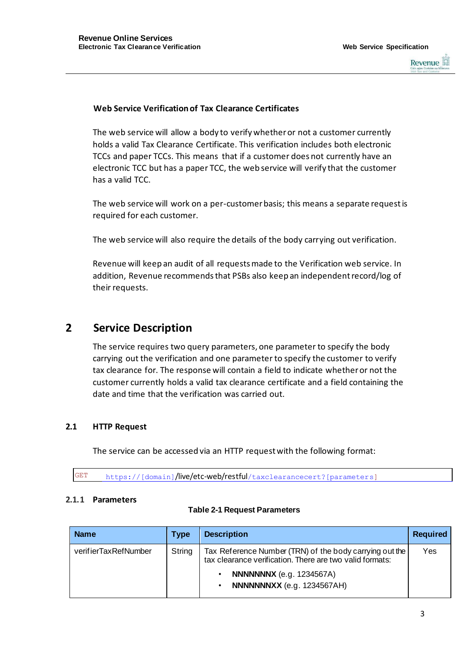

#### <span id="page-4-0"></span>**Web Service Verification of Tax Clearance Certificates**

The web service will allow a body to verify whether or not a customer currently holds a valid Tax Clearance Certificate. This verification includes both electronic TCCs and paper TCCs. This means that if a customer does not currently have an electronic TCC but has a paper TCC, the web service will verify that the customer has a valid TCC.

The web service will work on a per-customer basis; this means a separate request is required for each customer.

The web service will also require the details of the body carrying out verification.

Revenue will keep an audit of all requests made to the Verification web service. In addition, Revenue recommends that PSBs also keep an independent record/log of their requests.

## <span id="page-4-1"></span>**2 Service Description**

The service requires two query parameters, one parameter to specify the body carrying out the verification and one parameter to specify the customer to verify tax clearance for. The response will contain a field to indicate whether or not the customer currently holds a valid tax clearance certificate and a field containing the date and time that the verification was carried out.

#### <span id="page-4-2"></span>**2.1 HTTP Request**

The service can be accessed via an HTTP request with the following format:

GET https://[domain]**/live/etc-web/restful**/taxclearancecert?[parameters]

#### <span id="page-4-3"></span>**2.1.1 Parameters**

#### **Table 2-1 Request Parameters**

| <b>Name</b>          | <b>Type</b> | <b>Description</b>                                                                                                  | <b>Required</b> |
|----------------------|-------------|---------------------------------------------------------------------------------------------------------------------|-----------------|
| verifierTaxRefNumber | String      | Tax Reference Number (TRN) of the body carrying out the<br>tax clearance verification. There are two valid formats: | Yes             |
|                      |             | <b>NNNNNNX</b> (e.g. 1234567A)<br>NNNNNNXX (e.g. 1234567AH)                                                         |                 |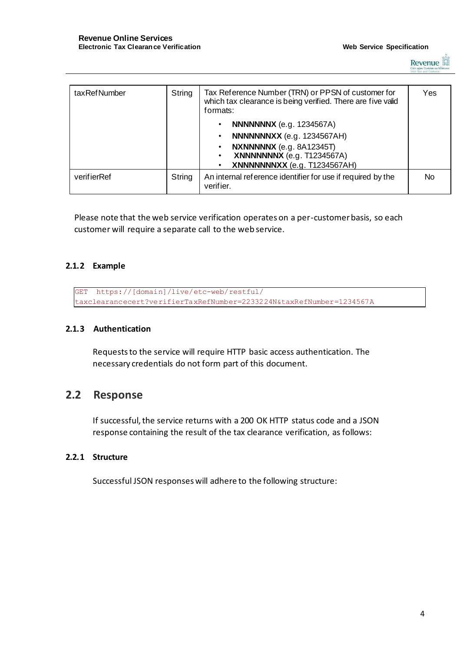

| taxRefNumber | String | Tax Reference Number (TRN) or PPSN of customer for<br>which tax clearance is being verified. There are five valid<br>formats: | Yes       |
|--------------|--------|-------------------------------------------------------------------------------------------------------------------------------|-----------|
|              |        | <b>NNNNNNX</b> (e.g. 1234567A)                                                                                                |           |
|              |        | NNNNNNXX (e.g. 1234567AH)                                                                                                     |           |
|              |        | NXNNNNNX (e.g. 8A12345T)<br><b>XNNNNNNX</b> (e.g. T1234567A)<br>XNNNNNNNXX (e.g. T1234567AH)                                  |           |
| verifierRef  | String | An internal reference identifier for use if required by the<br>verifier.                                                      | <b>No</b> |

Please note that the web service verification operates on a per-customer basis, so each customer will require a separate call to the web service.

#### <span id="page-5-0"></span>**2.1.2 Example**

```
GET https://[domain]/live/etc-web/restful/
taxclearancecert?verifierTaxRefNumber=2233224N&taxRefNumber=1234567A
```
#### <span id="page-5-1"></span>**2.1.3 Authentication**

Requests to the service will require HTTP basic access authentication. The necessary credentials do not form part of this document.

## <span id="page-5-2"></span>**2.2 Response**

If successful, the service returns with a 200 OK HTTP status code and a JSON response containing the result of the tax clearance verification, as follows:

#### <span id="page-5-3"></span>**2.2.1 Structure**

Successful JSON responses will adhere to the following structure: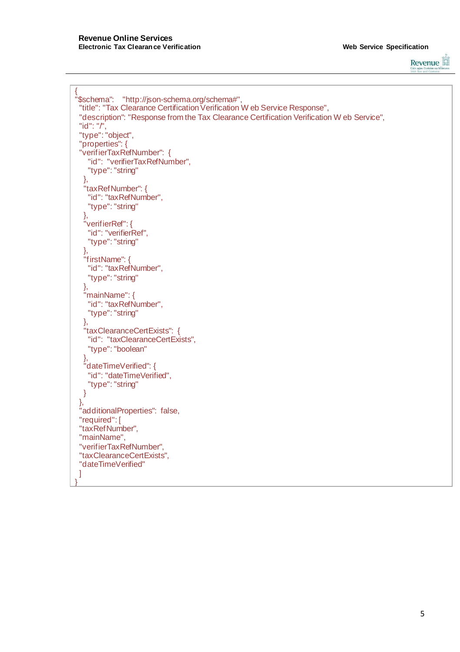

```
{
"$schema": "http://json-schema.org/schema#",
 "title": "Tax Clearance Certification Verification W eb Service Response",
 "description": "Response from the Tax Clearance Certification Verification W eb Service", 
 "id": "/",
 "type": "object", 
 "properties": { 
 "verifierTaxRefNumber": {
   "id": "verifierTaxRefNumber", 
   "type": "string"
  },
  "taxRefNumber": { 
   "id": "taxRefNumber", 
   "type": "string"
  },
  "verifierRef": { 
   "id": "verifierRef",
   "type": "string"
  },
  "firstName": {
   "id": "taxRefNumber", 
   "type": "string"
  },
  "mainName": {
   "id": "taxRefNumber", 
   "type": "string"
  },
  "taxClearanceCertExists": { 
   "id": "taxClearanceCertExists", 
   "type": "boolean"
  },
  "dateTimeVerified": { 
   "id": "dateTimeVerified", 
   "type": "string"
  }
 },
 "additionalProperties": false, 
 "required": [ 
 "taxRefNumber", 
"mainName", 
 "verifierTaxRefNumber", 
 "taxClearanceCertExists", 
 "dateTimeVerified"
]
}
```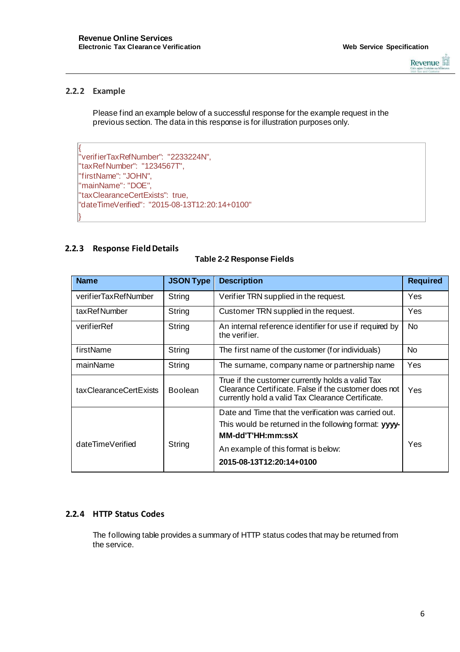

#### <span id="page-7-0"></span>**2.2.2 Example**

Please find an example below of a successful response for the example request in the previous section. The data in this response is for illustration purposes only.

```
{
"verifierTaxRefNumber": "2233224N", 
"taxRefNumber": "1234567T", 
"firstName": "JOHN",
"mainName": "DOE", 
"taxClearanceCertExists": true,
"dateTimeVerified": "2015-08-13T12:20:14+0100"
}
```
#### <span id="page-7-1"></span>**2.2.3 Response Field Details**

#### **Table 2-2 Response Fields**

| <b>Name</b>            | <b>JSON Type</b> | <b>Description</b>                                                                                                                                             | <b>Required</b> |
|------------------------|------------------|----------------------------------------------------------------------------------------------------------------------------------------------------------------|-----------------|
| verifierTaxRefNumber   | String           | Verifier TRN supplied in the request.                                                                                                                          | Yes             |
| taxRefNumber           | String           | Customer TRN supplied in the request.                                                                                                                          | Yes             |
| verifierRef            | String           | An internal reference identifier for use if required by<br>the verifier.                                                                                       | N <sub>o</sub>  |
| firstName              | String           | The first name of the customer (for individuals)                                                                                                               | No.             |
| mainName               | String           | The surname, company name or partnership name                                                                                                                  | Yes             |
| taxClearanceCertExists | <b>Boolean</b>   | True if the customer currently holds a valid Tax<br>Clearance Certificate. False if the customer does not<br>currently hold a valid Tax Clearance Certificate. | Yes             |
|                        |                  | Date and Time that the verification was carried out.                                                                                                           |                 |
|                        | String           | This would be returned in the following format: yyyy-<br><b>MM-dd'T'HH:mm:ssX</b>                                                                              | Yes             |
| dateTimeVerified       |                  | An example of this format is below:                                                                                                                            |                 |
|                        |                  | 2015-08-13T12:20:14+0100                                                                                                                                       |                 |

#### <span id="page-7-2"></span>**2.2.4 HTTP Status Codes**

The following table provides a summary of HTTP status codes that may be returned from the service.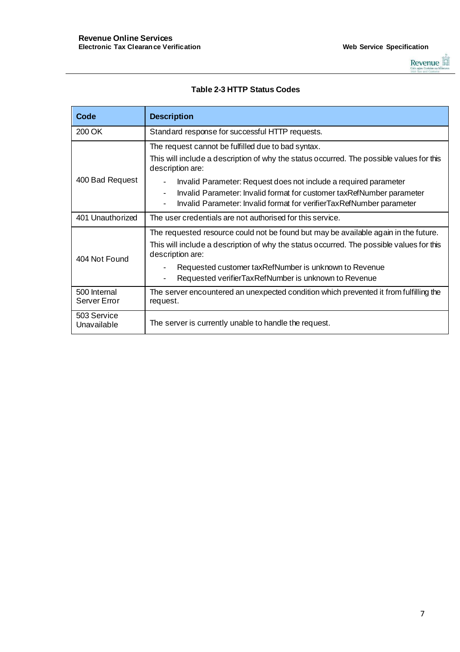

#### **Table 2-3 HTTP Status Codes**

| Code                                                                          | <b>Description</b>                                                                                                                                              |  |  |  |  |
|-------------------------------------------------------------------------------|-----------------------------------------------------------------------------------------------------------------------------------------------------------------|--|--|--|--|
| 200 OK                                                                        | Standard response for successful HTTP requests.                                                                                                                 |  |  |  |  |
|                                                                               | The request cannot be fulfilled due to bad syntax.                                                                                                              |  |  |  |  |
|                                                                               | This will include a description of why the status occurred. The possible values for this<br>description are:                                                    |  |  |  |  |
| 400 Bad Request                                                               | Invalid Parameter: Request does not include a required parameter                                                                                                |  |  |  |  |
|                                                                               | Invalid Parameter: Invalid format for customer taxRefNumber parameter<br>$\blacksquare$<br>Invalid Parameter: Invalid format for verifierTaxRefNumber parameter |  |  |  |  |
| 401 Unauthorized<br>The user credentials are not authorised for this service. |                                                                                                                                                                 |  |  |  |  |
|                                                                               | The requested resource could not be found but may be available again in the future.                                                                             |  |  |  |  |
| 404 Not Found                                                                 | This will include a description of why the status occurred. The possible values for this<br>description are:                                                    |  |  |  |  |
|                                                                               | Requested customer taxRefNumber is unknown to Revenue                                                                                                           |  |  |  |  |
|                                                                               | Requested verifierTaxRefNumber is unknown to Revenue                                                                                                            |  |  |  |  |
| 500 Internal<br>Server Error                                                  | The server encountered an unexpected condition which prevented it from fulfilling the<br>request.                                                               |  |  |  |  |
| 503 Service<br>Unavailable                                                    | The server is currently unable to handle the request.                                                                                                           |  |  |  |  |